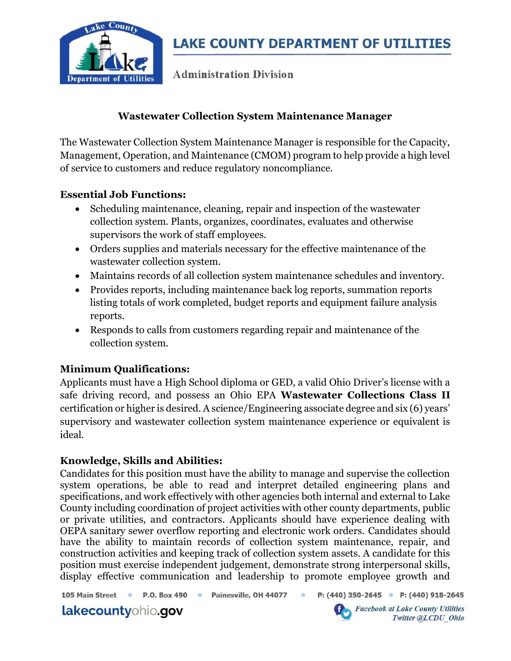

**Administration Division** 

### Wastewater Collection System Maintenance Manager

The Wastewater Collection System Maintenance Manager is responsible for the Capacity, Management, Operation, and Maintenance (CMOM) program to help provide a high level of service to customers and reduce regulatory noncompliance.

### Essential Job Functions:

- Scheduling maintenance, cleaning, repair and inspection of the wastewater collection system. Plants, organizes, coordinates, evaluates and otherwise supervisors the work of staff employees.
- Orders supplies and materials necessary for the effective maintenance of the wastewater collection system.
- Maintains records of all collection system maintenance schedules and inventory.
- Provides reports, including maintenance back log reports, summation reports listing totals of work completed, budget reports and equipment failure analysis reports.
- Responds to calls from customers regarding repair and maintenance of the collection system.

# Minimum Qualifications:

Applicants must have a High School diploma or GED, a valid Ohio Driver's license with a safe driving record, and possess an Ohio EPA Wastewater Collections Class II certification or higher is desired. A science/Engineering associate degree and six (6) years' supervisory and wastewater collection system maintenance experience or equivalent is ideal.

### Knowledge, Skills and Abilities:

Candidates for this position must have the ability to manage and supervise the collection system operations, be able to read and interpret detailed engineering plans and specifications, and work effectively with other agencies both internal and external to Lake County including coordination of project activities with other county departments, public or private utilities, and contractors. Applicants should have experience dealing with OEPA sanitary sewer overflow reporting and electronic work orders. Candidates should have the ability to maintain records of collection system maintenance, repair, and construction activities and keeping track of collection system assets. A candidate for this position must exercise independent judgement, demonstrate strong interpersonal skills, display effective communication and leadership to promote employee growth and

105 Main Street . P.O. Box 490 · Painesville, OH 44077 ·

P: (440) 350-2645 P: (440) 918-2645

lakecountyohio.gov



**Facebook at Lake County Utilities** Twitter @LCDU Ohio